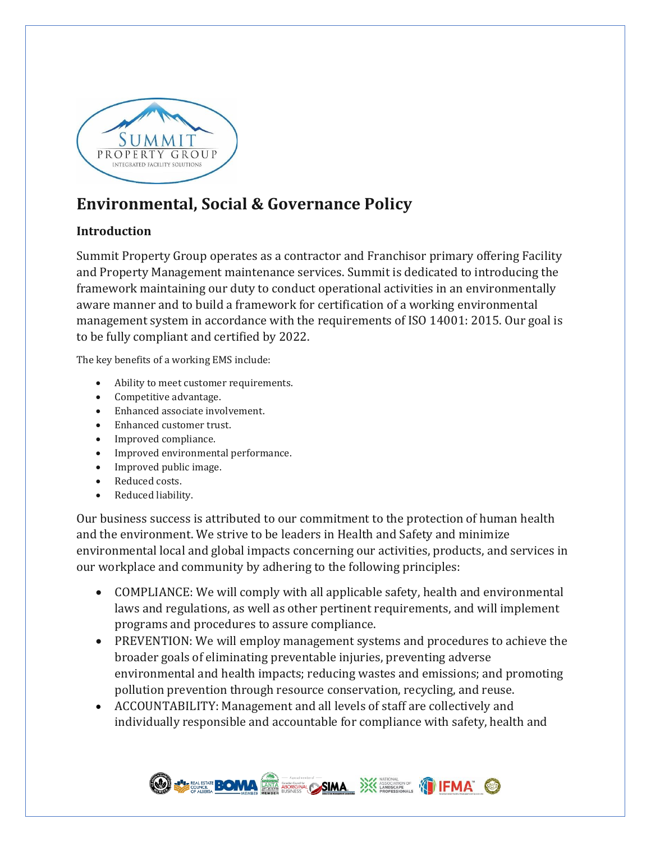

# **Environmental, Social & Governance Policy**

### **Introduction**

Summit Property Group operates as a contractor and Franchisor primary offering Facility and Property Management maintenance services. Summit is dedicated to introducing the framework maintaining our duty to conduct operational activities in an environmentally aware manner and to build a framework for certification of a working environmental management system in accordance with the requirements of ISO 14001: 2015. Our goal is to be fully compliant and certified by 2022.

The key benefits of a working EMS include:

- Ability to meet customer requirements.
- Competitive advantage.
- Enhanced associate involvement.
- Enhanced customer trust.
- Improved compliance.
- Improved environmental performance.
- Improved public image.
- Reduced costs.
- Reduced liability.

Our business success is attributed to our commitment to the protection of human health and the environment. We strive to be leaders in Health and Safety and minimize environmental local and global impacts concerning our activities, products, and services in our workplace and community by adhering to the following principles:

- COMPLIANCE: We will comply with all applicable safety, health and environmental laws and regulations, as well as other pertinent requirements, and will implement programs and procedures to assure compliance.
- PREVENTION: We will employ management systems and procedures to achieve the broader goals of eliminating preventable injuries, preventing adverse environmental and health impacts; reducing wastes and emissions; and promoting pollution prevention through resource conservation, recycling, and reuse.
- ACCOUNTABILITY: Management and all levels of staff are collectively and individually responsible and accountable for compliance with safety, health and

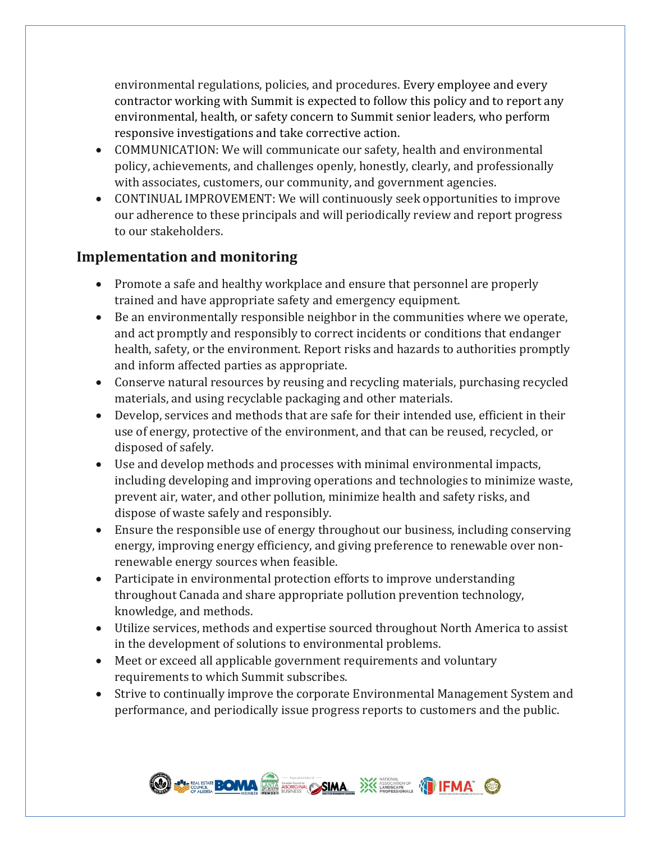environmental regulations, policies, and procedures. Every employee and every contractor working with Summit is expected to follow this policy and to report any environmental, health, or safety concern to Summit senior leaders, who perform responsive investigations and take corrective action.

- COMMUNICATION: We will communicate our safety, health and environmental policy, achievements, and challenges openly, honestly, clearly, and professionally with associates, customers, our community, and government agencies.
- CONTINUAL IMPROVEMENT: We will continuously seek opportunities to improve our adherence to these principals and will periodically review and report progress to our stakeholders.

## **Implementation and monitoring**

- Promote a safe and healthy workplace and ensure that personnel are properly trained and have appropriate safety and emergency equipment.
- Be an environmentally responsible neighbor in the communities where we operate, and act promptly and responsibly to correct incidents or conditions that endanger health, safety, or the environment. Report risks and hazards to authorities promptly and inform affected parties as appropriate.
- Conserve natural resources by reusing and recycling materials, purchasing recycled materials, and using recyclable packaging and other materials.
- Develop, services and methods that are safe for their intended use, efficient in their use of energy, protective of the environment, and that can be reused, recycled, or disposed of safely.
- Use and develop methods and processes with minimal environmental impacts, including developing and improving operations and technologies to minimize waste, prevent air, water, and other pollution, minimize health and safety risks, and dispose of waste safely and responsibly.
- Ensure the responsible use of energy throughout our business, including conserving energy, improving energy efficiency, and giving preference to renewable over nonrenewable energy sources when feasible.
- Participate in environmental protection efforts to improve understanding throughout Canada and share appropriate pollution prevention technology, knowledge, and methods.
- Utilize services, methods and expertise sourced throughout North America to assist in the development of solutions to environmental problems.
- Meet or exceed all applicable government requirements and voluntary requirements to which Summit subscribes.
- Strive to continually improve the corporate Environmental Management System and performance, and periodically issue progress reports to customers and the public.

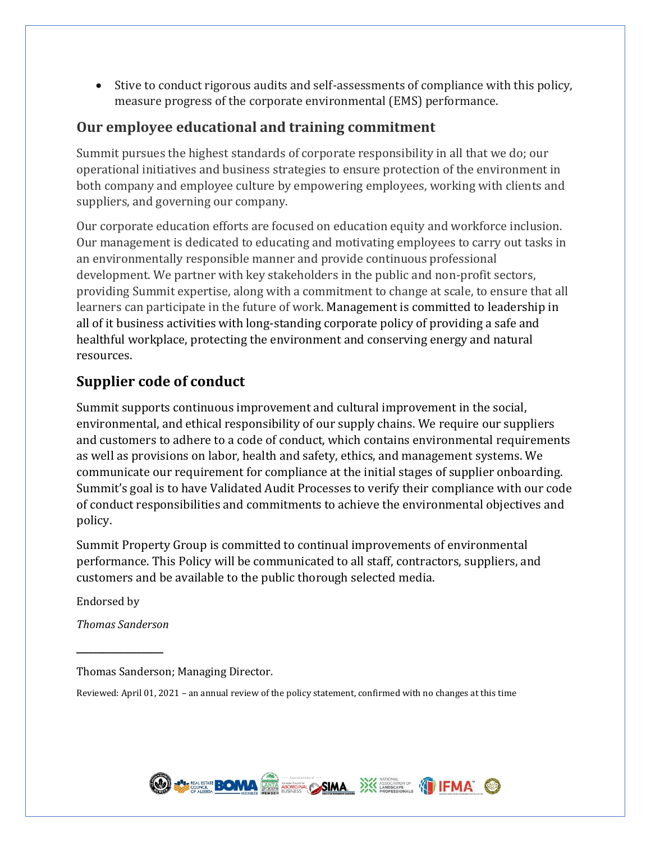• Stive to conduct rigorous audits and self-assessments of compliance with this policy, measure progress of the corporate environmental (EMS) performance.

## **Our employee educational and training commitment**

Summit pursues the highest standards of corporate responsibility in all that we do; our operational initiatives and business strategies to ensure protection of the environment in both company and employee culture by empowering employees, working with clients and suppliers, and governing our company.

Our corporate education efforts are focused on education equity and workforce inclusion. Our management is dedicated to educating and motivating employees to carry out tasks in an environmentally responsible manner and provide continuous professional development. We partner with key stakeholders in the public and non-profit sectors, providing Summit expertise, along with a commitment to change at scale, to ensure that all learners can participate in the future of work. Management is committed to leadership in all of it business activities with long-standing corporate policy of providing a safe and healthful workplace, protecting the environment and conserving energy and natural resources.

## **Supplier code of conduct**

Summit supports continuous improvement and cultural improvement in the social, environmental, and ethical responsibility of our supply chains. We require our suppliers and customers to adhere to a code of conduct, which contains environmental requirements as well as provisions on labor, health and safety, ethics, and management systems. We communicate our requirement for compliance at the initial stages of supplier onboarding. Summit's goal is to have Validated Audit Processes to verify their compliance with our code of conduct responsibilities and commitments to achieve the environmental objectives and policy.

Summit Property Group is committed to continual improvements of environmental performance. This Policy will be communicated to all staff, contractors, suppliers, and customers and be available to the public thorough selected media.

Endorsed by

*Thomas Sanderson*

 $\overline{\phantom{a}}$  , where  $\overline{\phantom{a}}$ 

Thomas Sanderson; Managing Director.

Reviewed: April 01, 2021 – an annual review of the policy statement, confirmed with no changes at this time

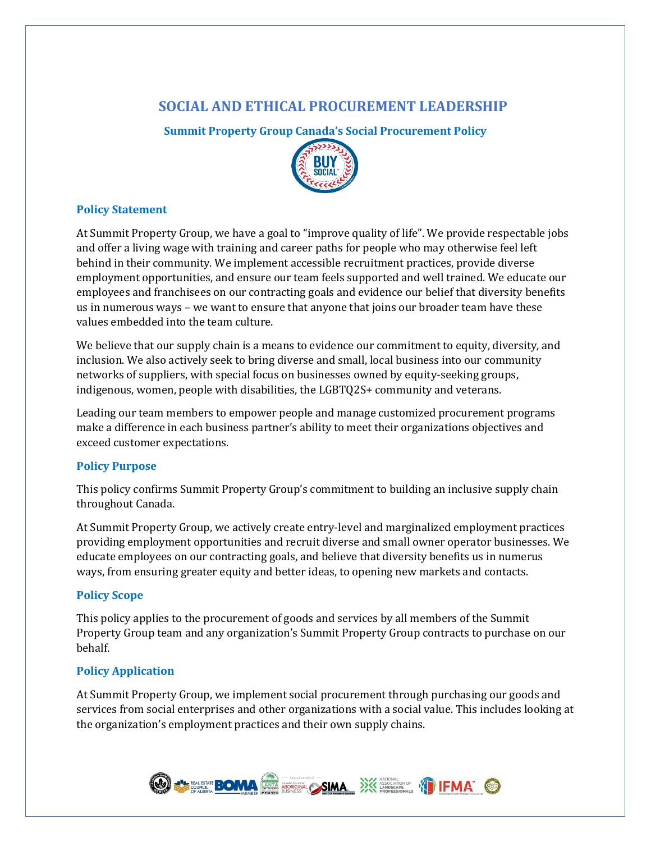## **SOCIAL AND ETHICAL PROCUREMENT LEADERSHIP**

**Summit Property Group Canada's Social Procurement Policy**



#### **Policy Statement**

At Summit Property Group, we have a goal to "improve quality of life". We provide respectable jobs and offer a living wage with training and career paths for people who may otherwise feel left behind in their community. We implement accessible recruitment practices, provide diverse employment opportunities, and ensure our team feels supported and well trained. We educate our employees and franchisees on our contracting goals and evidence our belief that diversity benefits us in numerous ways – we want to ensure that anyone that joins our broader team have these values embedded into the team culture.

We believe that our supply chain is a means to evidence our commitment to equity, diversity, and inclusion. We also actively seek to bring diverse and small, local business into our community networks of suppliers, with special focus on businesses owned by equity-seeking groups, indigenous, women, people with disabilities, the LGBTQ2S+ community and veterans.

Leading our team members to empower people and manage customized procurement programs make a difference in each business partner's ability to meet their organizations objectives and exceed customer expectations.

### **Policy Purpose**

This policy confirms Summit Property Group's commitment to building an inclusive supply chain throughout Canada.

At Summit Property Group, we actively create entry-level and marginalized employment practices providing employment opportunities and recruit diverse and small owner operator businesses. We educate employees on our contracting goals, and believe that diversity benefits us in numerus ways, from ensuring greater equity and better ideas, to opening new markets and contacts.

#### **Policy Scope**

This policy applies to the procurement of goods and services by all members of the Summit Property Group team and any organization's Summit Property Group contracts to purchase on our behalf.

### **Policy Application**

At Summit Property Group, we implement social procurement through purchasing our goods and services from social enterprises and other organizations with a social value. This includes looking at the organization's employment practices and their own supply chains.